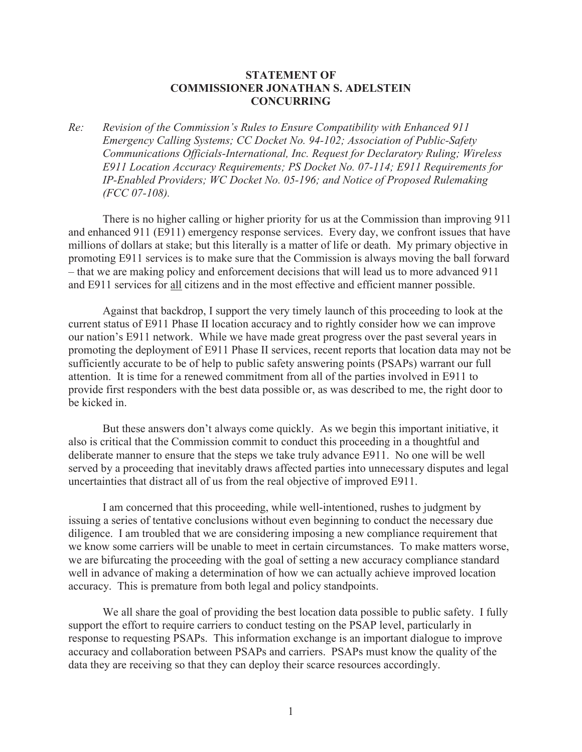## **STATEMENT OF COMMISSIONER JONATHAN S. ADELSTEIN CONCURRING**

*Re: Revision of the Commission's Rules to Ensure Compatibility with Enhanced 911 Emergency Calling Systems; CC Docket No. 94-102; Association of Public-Safety Communications Officials-International, Inc. Request for Declaratory Ruling; Wireless E911 Location Accuracy Requirements; PS Docket No. 07-114; E911 Requirements for IP-Enabled Providers; WC Docket No. 05-196; and Notice of Proposed Rulemaking (FCC 07-108).*

There is no higher calling or higher priority for us at the Commission than improving 911 and enhanced 911 (E911) emergency response services. Every day, we confront issues that have millions of dollars at stake; but this literally is a matter of life or death. My primary objective in promoting E911 services is to make sure that the Commission is always moving the ball forward – that we are making policy and enforcement decisions that will lead us to more advanced 911 and E911 services for all citizens and in the most effective and efficient manner possible.

Against that backdrop, I support the very timely launch of this proceeding to look at the current status of E911 Phase II location accuracy and to rightly consider how we can improve our nation's E911 network. While we have made great progress over the past several years in promoting the deployment of E911 Phase II services, recent reports that location data may not be sufficiently accurate to be of help to public safety answering points (PSAPs) warrant our full attention. It is time for a renewed commitment from all of the parties involved in E911 to provide first responders with the best data possible or, as was described to me, the right door to be kicked in.

But these answers don't always come quickly. As we begin this important initiative, it also is critical that the Commission commit to conduct this proceeding in a thoughtful and deliberate manner to ensure that the steps we take truly advance E911. No one will be well served by a proceeding that inevitably draws affected parties into unnecessary disputes and legal uncertainties that distract all of us from the real objective of improved E911.

I am concerned that this proceeding, while well-intentioned, rushes to judgment by issuing a series of tentative conclusions without even beginning to conduct the necessary due diligence. I am troubled that we are considering imposing a new compliance requirement that we know some carriers will be unable to meet in certain circumstances. To make matters worse, we are bifurcating the proceeding with the goal of setting a new accuracy compliance standard well in advance of making a determination of how we can actually achieve improved location accuracy. This is premature from both legal and policy standpoints.

We all share the goal of providing the best location data possible to public safety. I fully support the effort to require carriers to conduct testing on the PSAP level, particularly in response to requesting PSAPs. This information exchange is an important dialogue to improve accuracy and collaboration between PSAPs and carriers. PSAPs must know the quality of the data they are receiving so that they can deploy their scarce resources accordingly.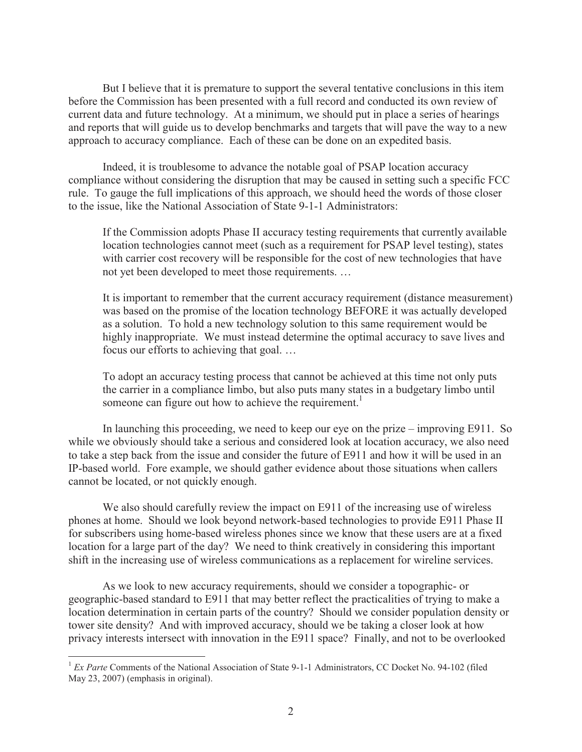But I believe that it is premature to support the several tentative conclusions in this item before the Commission has been presented with a full record and conducted its own review of current data and future technology. At a minimum, we should put in place a series of hearings and reports that will guide us to develop benchmarks and targets that will pave the way to a new approach to accuracy compliance. Each of these can be done on an expedited basis.

Indeed, it is troublesome to advance the notable goal of PSAP location accuracy compliance without considering the disruption that may be caused in setting such a specific FCC rule. To gauge the full implications of this approach, we should heed the words of those closer to the issue, like the National Association of State 9-1-1 Administrators:

If the Commission adopts Phase II accuracy testing requirements that currently available location technologies cannot meet (such as a requirement for PSAP level testing), states with carrier cost recovery will be responsible for the cost of new technologies that have not yet been developed to meet those requirements. …

It is important to remember that the current accuracy requirement (distance measurement) was based on the promise of the location technology BEFORE it was actually developed as a solution. To hold a new technology solution to this same requirement would be highly inappropriate. We must instead determine the optimal accuracy to save lives and focus our efforts to achieving that goal. …

To adopt an accuracy testing process that cannot be achieved at this time not only puts the carrier in a compliance limbo, but also puts many states in a budgetary limbo until someone can figure out how to achieve the requirement.<sup>1</sup>

In launching this proceeding, we need to keep our eye on the prize – improving E911. So while we obviously should take a serious and considered look at location accuracy, we also need to take a step back from the issue and consider the future of E911 and how it will be used in an IP-based world. Fore example, we should gather evidence about those situations when callers cannot be located, or not quickly enough.

We also should carefully review the impact on E911 of the increasing use of wireless phones at home. Should we look beyond network-based technologies to provide E911 Phase II for subscribers using home-based wireless phones since we know that these users are at a fixed location for a large part of the day? We need to think creatively in considering this important shift in the increasing use of wireless communications as a replacement for wireline services.

As we look to new accuracy requirements, should we consider a topographic- or geographic-based standard to E911 that may better reflect the practicalities of trying to make a location determination in certain parts of the country? Should we consider population density or tower site density? And with improved accuracy, should we be taking a closer look at how privacy interests intersect with innovation in the E911 space? Finally, and not to be overlooked

<sup>&</sup>lt;sup>1</sup> *Ex Parte* Comments of the National Association of State 9-1-1 Administrators, CC Docket No. 94-102 (filed May 23, 2007) (emphasis in original).